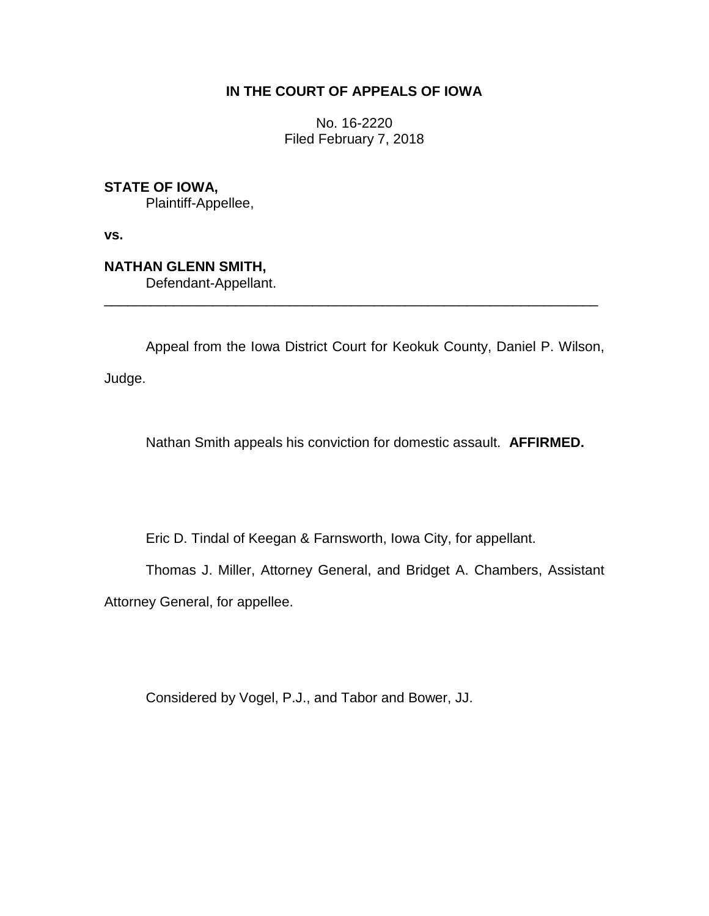# **IN THE COURT OF APPEALS OF IOWA**

No. 16-2220 Filed February 7, 2018

**STATE OF IOWA,**

Plaintiff-Appellee,

**vs.**

**NATHAN GLENN SMITH,** Defendant-Appellant.

Appeal from the Iowa District Court for Keokuk County, Daniel P. Wilson,

\_\_\_\_\_\_\_\_\_\_\_\_\_\_\_\_\_\_\_\_\_\_\_\_\_\_\_\_\_\_\_\_\_\_\_\_\_\_\_\_\_\_\_\_\_\_\_\_\_\_\_\_\_\_\_\_\_\_\_\_\_\_\_\_

Judge.

Nathan Smith appeals his conviction for domestic assault. **AFFIRMED.**

Eric D. Tindal of Keegan & Farnsworth, Iowa City, for appellant.

Thomas J. Miller, Attorney General, and Bridget A. Chambers, Assistant

Attorney General, for appellee.

Considered by Vogel, P.J., and Tabor and Bower, JJ.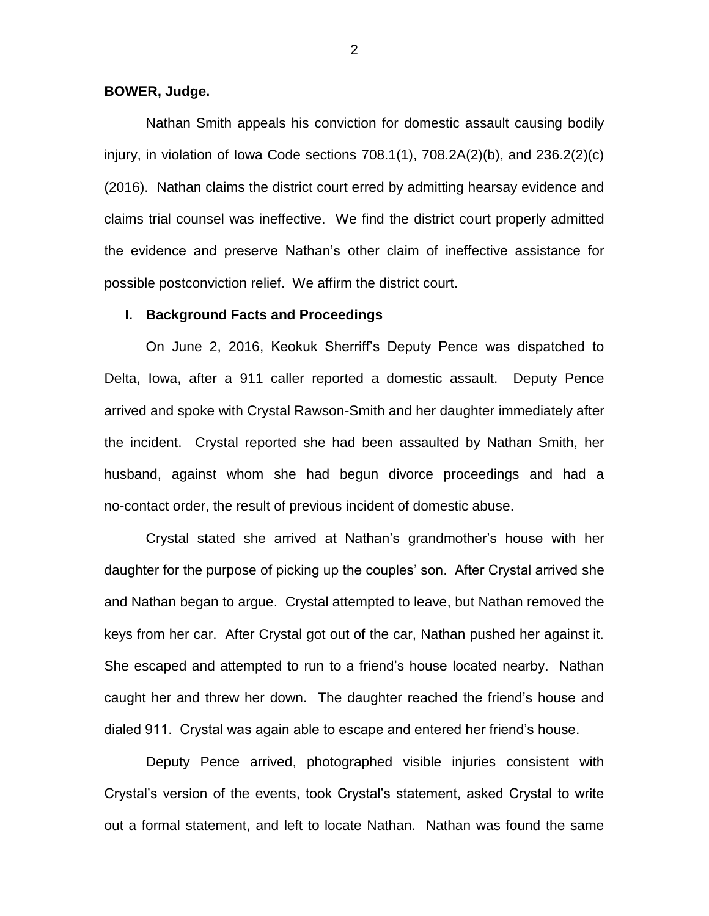### **BOWER, Judge.**

Nathan Smith appeals his conviction for domestic assault causing bodily injury, in violation of Iowa Code sections 708.1(1), 708.2A(2)(b), and 236.2(2)(c) (2016). Nathan claims the district court erred by admitting hearsay evidence and claims trial counsel was ineffective. We find the district court properly admitted the evidence and preserve Nathan's other claim of ineffective assistance for possible postconviction relief. We affirm the district court.

### **I. Background Facts and Proceedings**

On June 2, 2016, Keokuk Sherriff's Deputy Pence was dispatched to Delta, Iowa, after a 911 caller reported a domestic assault. Deputy Pence arrived and spoke with Crystal Rawson-Smith and her daughter immediately after the incident. Crystal reported she had been assaulted by Nathan Smith, her husband, against whom she had begun divorce proceedings and had a no-contact order, the result of previous incident of domestic abuse.

Crystal stated she arrived at Nathan's grandmother's house with her daughter for the purpose of picking up the couples' son. After Crystal arrived she and Nathan began to argue. Crystal attempted to leave, but Nathan removed the keys from her car. After Crystal got out of the car, Nathan pushed her against it. She escaped and attempted to run to a friend's house located nearby. Nathan caught her and threw her down. The daughter reached the friend's house and dialed 911. Crystal was again able to escape and entered her friend's house.

Deputy Pence arrived, photographed visible injuries consistent with Crystal's version of the events, took Crystal's statement, asked Crystal to write out a formal statement, and left to locate Nathan. Nathan was found the same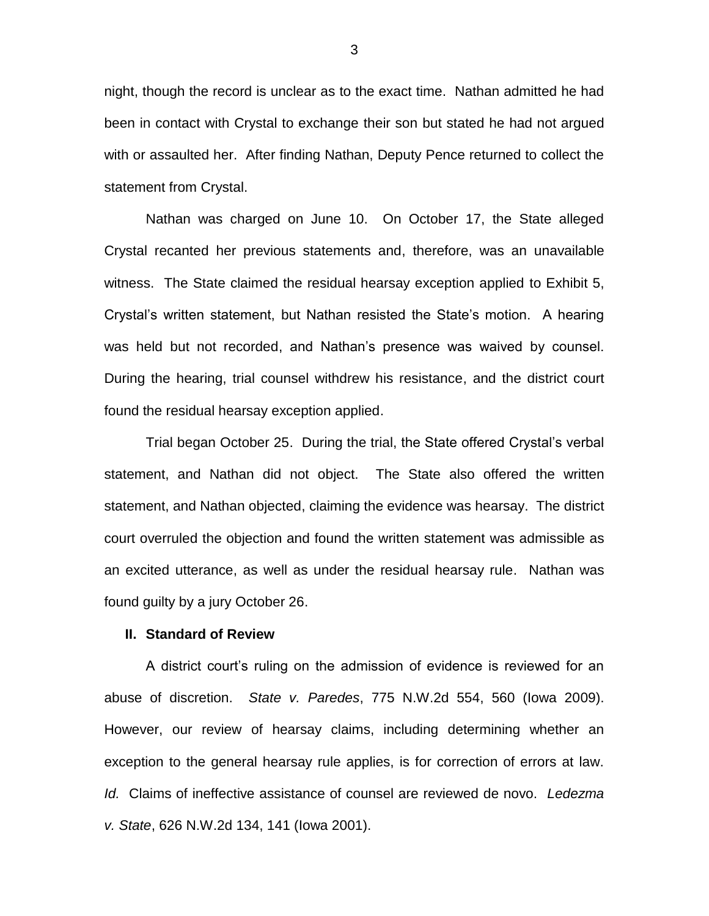night, though the record is unclear as to the exact time. Nathan admitted he had been in contact with Crystal to exchange their son but stated he had not argued with or assaulted her. After finding Nathan, Deputy Pence returned to collect the statement from Crystal.

Nathan was charged on June 10. On October 17, the State alleged Crystal recanted her previous statements and, therefore, was an unavailable witness. The State claimed the residual hearsay exception applied to Exhibit 5, Crystal's written statement, but Nathan resisted the State's motion. A hearing was held but not recorded, and Nathan's presence was waived by counsel. During the hearing, trial counsel withdrew his resistance, and the district court found the residual hearsay exception applied.

Trial began October 25. During the trial, the State offered Crystal's verbal statement, and Nathan did not object. The State also offered the written statement, and Nathan objected, claiming the evidence was hearsay. The district court overruled the objection and found the written statement was admissible as an excited utterance, as well as under the residual hearsay rule. Nathan was found guilty by a jury October 26.

#### **II. Standard of Review**

A district court's ruling on the admission of evidence is reviewed for an abuse of discretion. *State v. Paredes*, 775 N.W.2d 554, 560 (Iowa 2009). However, our review of hearsay claims, including determining whether an exception to the general hearsay rule applies, is for correction of errors at law. *Id.* Claims of ineffective assistance of counsel are reviewed de novo. *Ledezma v. State*, 626 N.W.2d 134, 141 (Iowa 2001).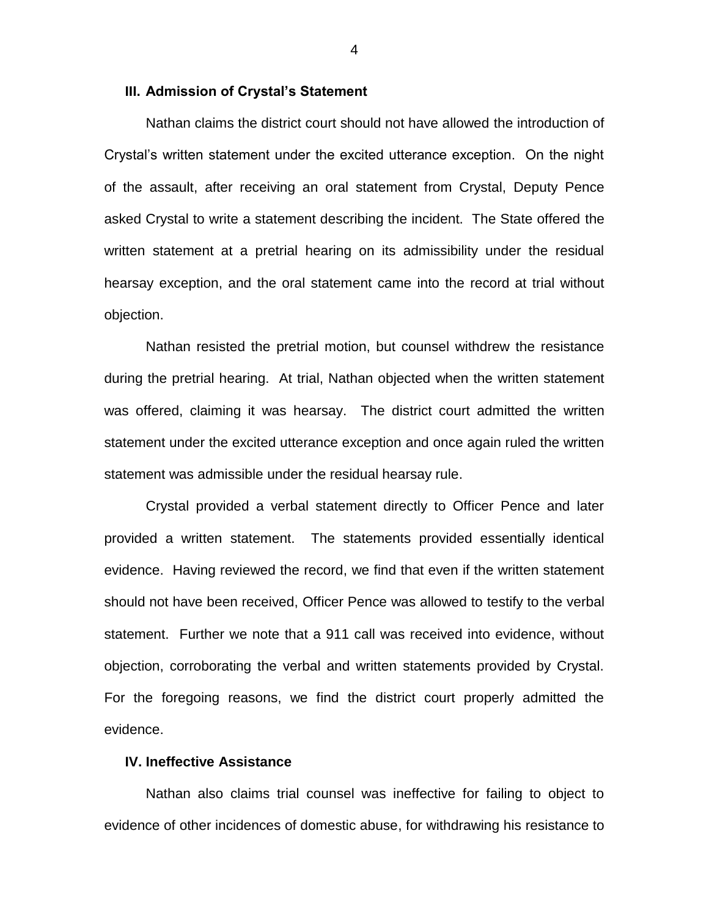#### **III. Admission of Crystal's Statement**

Nathan claims the district court should not have allowed the introduction of Crystal's written statement under the excited utterance exception. On the night of the assault, after receiving an oral statement from Crystal, Deputy Pence asked Crystal to write a statement describing the incident. The State offered the written statement at a pretrial hearing on its admissibility under the residual hearsay exception, and the oral statement came into the record at trial without objection.

Nathan resisted the pretrial motion, but counsel withdrew the resistance during the pretrial hearing. At trial, Nathan objected when the written statement was offered, claiming it was hearsay. The district court admitted the written statement under the excited utterance exception and once again ruled the written statement was admissible under the residual hearsay rule.

Crystal provided a verbal statement directly to Officer Pence and later provided a written statement. The statements provided essentially identical evidence. Having reviewed the record, we find that even if the written statement should not have been received, Officer Pence was allowed to testify to the verbal statement. Further we note that a 911 call was received into evidence, without objection, corroborating the verbal and written statements provided by Crystal. For the foregoing reasons, we find the district court properly admitted the evidence.

## **IV. Ineffective Assistance**

Nathan also claims trial counsel was ineffective for failing to object to evidence of other incidences of domestic abuse, for withdrawing his resistance to

4